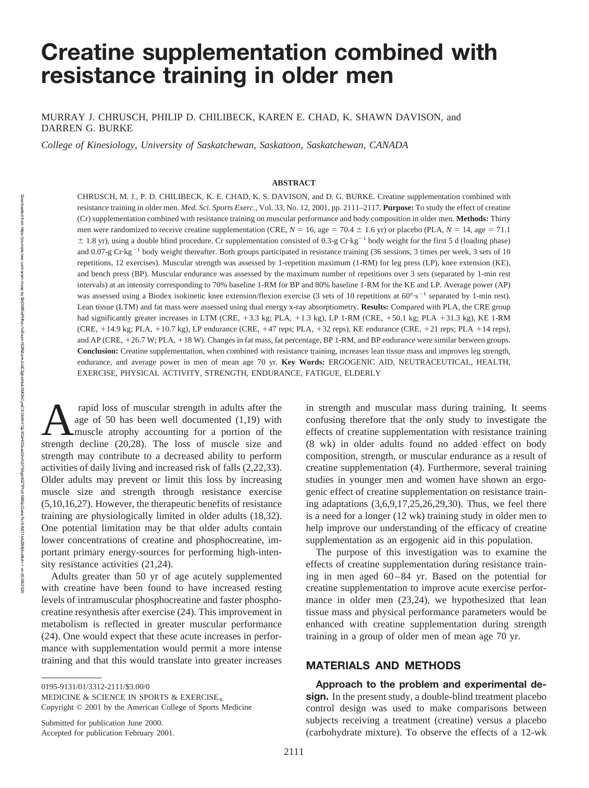# **Creatine supplementation combined with resistance training in older men**

MURRAY J. CHRUSCH, PHILIP D. CHILIBECK, KAREN E. CHAD, K. SHAWN DAVISON, and DARREN G. BURKE

*College of Kinesiology, University of Saskatchewan, Saskatoon, Saskatchewan, CANADA*

#### **ABSTRACT**

CHRUSCH, M. J., P. D. CHILIBECK, K. E. CHAD, K. S. DAVISON, and D. G. BURKE. Creatine supplementation combined with resistance training in older men. *Med. Sci. Sports Exerc.*, Vol. 33, No. 12, 2001, pp. 2111–2117. **Purpose:** To study the effect of creatine (Cr) supplementation combined with resistance training on muscular performance and body composition in older men. **Methods:** Thirty men were randomized to receive creatine supplementation (CRE,  $N = 16$ , age = 70.4  $\pm$  1.6 yr) or placebo (PLA,  $N = 14$ , age = 71.1  $\pm$  1.8 yr), using a double blind procedure. Cr supplementation consisted of 0.3-g Cr·kg<sup>-1</sup> body weight for the first 5 d (loading phase) and 0.07-g  $Cr \cdot kg^{-1}$  body weight thereafter. Both groups participated in resistance training (36 sessions, 3 times per week, 3 sets of 10 repetitions, 12 exercises). Muscular strength was assessed by 1-repetition maximum (1-RM) for leg press (LP), knee extension (KE), and bench press (BP). Muscular endurance was assessed by the maximum number of repetitions over 3 sets (separated by 1-min rest intervals) at an intensity corresponding to 70% baseline 1-RM for BP and 80% baseline 1-RM for the KE and LP. Average power (AP) was assessed using a Biodex isokinetic knee extension/flexion exercise (3 sets of 10 repetitions at  $60^{\circ} \text{ s}^{-1}$  separated by 1-min rest). Lean tissue (LTM) and fat mass were assessed using dual energy x-ray absorptiometry. **Results:** Compared with PLA, the CRE group had significantly greater increases in LTM (CRE,  $+3.3$  kg; PLA,  $+1.3$  kg), LP 1-RM (CRE,  $+50.1$  kg; PLA  $+31.3$  kg), KE 1-RM  $(CRE, +14.9 \text{ kg}; \text{PLA}, +10.7 \text{ kg})$ , LP endurance  $(CRE, +47 \text{ reps}; \text{PLA}, +32 \text{ reps})$ , KE endurance  $(CRE, +21 \text{ reps}; \text{PLA} +14 \text{ reps})$ , and AP (CRE, +26.7 W; PLA, +18 W). Changes in fat mass, fat percentage, BP 1-RM, and BP endurance were similar between groups. **Conclusion:** Creatine supplementation, when combined with resistance training, increases lean tissue mass and improves leg strength, endurance, and average power in men of mean age 70 yr. **Key Words:** ERGOGENIC AID, NEUTRACEUTICAL, HEALTH, EXERCISE, PHYSICAL ACTIVITY, STRENGTH, ENDURANCE, FATIGUE, ELDERLY

rapid loss of muscular strength in adults after the age of 50 has been well documented  $(1,19)$  with muscle atrophy accounting for a portion of the strength decline  $(20.28)$ . The loss of muscle size and age of 50 has been well documented (1,19) with muscle atrophy accounting for a portion of the strength decline (20,28). The loss of muscle size and strength may contribute to a decreased ability to perform activities of daily living and increased risk of falls (2,22,33). Older adults may prevent or limit this loss by increasing muscle size and strength through resistance exercise (5,10,16,27). However, the therapeutic benefits of resistance training are physiologically limited in older adults (18,32). One potential limitation may be that older adults contain lower concentrations of creatine and phosphocreatine, important primary energy-sources for performing high-intensity resistance activities (21,24).

Adults greater than 50 yr of age acutely supplemented with creatine have been found to have increased resting levels of intramuscular phosphocreatine and faster phosphocreatine resynthesis after exercise (24). This improvement in metabolism is reflected in greater muscular performance (24). One would expect that these acute increases in performance with supplementation would permit a more intense training and that this would translate into greater increases

MEDICINE & SCIENCE IN SPORTS & EXERCISE<sup>®</sup>

Copyright © 2001 by the American College of Sports Medicine

Submitted for publication June 2000. Accepted for publication February 2001. in strength and muscular mass during training. It seems confusing therefore that the only study to investigate the effects of creatine supplementation with resistance training (8 wk) in older adults found no added effect on body composition, strength, or muscular endurance as a result of creatine supplementation (4). Furthermore, several training studies in younger men and women have shown an ergogenic effect of creatine supplementation on resistance training adaptations (3,6,9,17,25,26,29,30). Thus, we feel there is a need for a longer (12 wk) training study in older men to help improve our understanding of the efficacy of creatine supplementation as an ergogenic aid in this population.

The purpose of this investigation was to examine the effects of creatine supplementation during resistance training in men aged 60–84 yr. Based on the potential for creatine supplementation to improve acute exercise performance in older men (23,24), we hypothesized that lean tissue mass and physical performance parameters would be enhanced with creatine supplementation during strength training in a group of older men of mean age 70 yr.

### **MATERIALS AND METHODS**

**Approach to the problem and experimental design.** In the present study, a double-blind treatment placebo control design was used to make comparisons between subjects receiving a treatment (creatine) versus a placebo (carbohydrate mixture). To observe the effects of a 12-wk

<sup>0195-9131/01/3312-2111/\$3.00/0</sup>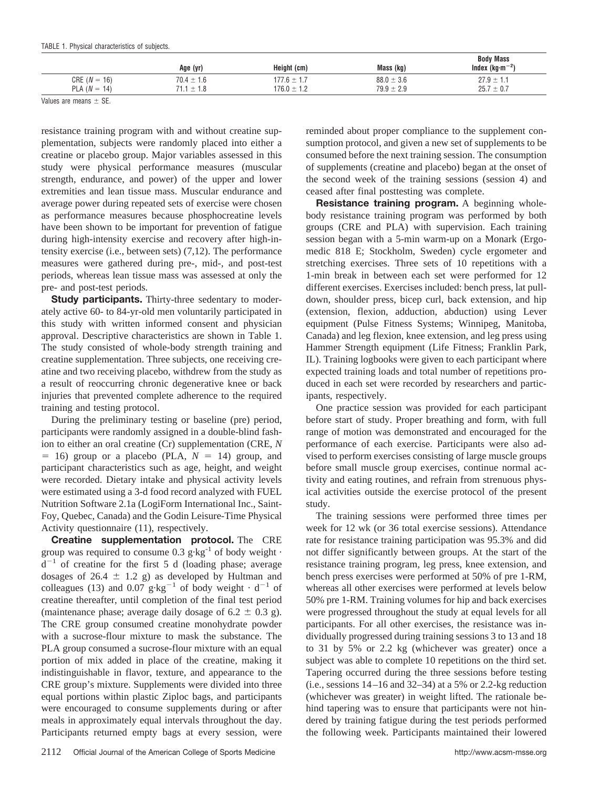|                                        | Age (yr)                               | Height (cm)                        | Mass (kg)                        | <b>Body Mass</b><br>Index (kg $\cdot$ m $^{-2}$ ) |
|----------------------------------------|----------------------------------------|------------------------------------|----------------------------------|---------------------------------------------------|
| CRE $(N =$<br>16)<br>$PLA (N =$<br>14) | $70.4 \pm$<br>1.6<br>74 4<br>$\pm$ 1.8 | $177.6 \pm 1.7$<br>$176.0 \pm 1.2$ | $88.0 \pm 3.6$<br>$79.9 \pm 2.9$ | $27.9 \pm 1.1$<br>25.7<br>$\pm 0.7$               |

Values are means  $\pm$  SE.

resistance training program with and without creatine supplementation, subjects were randomly placed into either a creatine or placebo group. Major variables assessed in this study were physical performance measures (muscular strength, endurance, and power) of the upper and lower extremities and lean tissue mass. Muscular endurance and average power during repeated sets of exercise were chosen as performance measures because phosphocreatine levels have been shown to be important for prevention of fatigue during high-intensity exercise and recovery after high-intensity exercise (i.e., between sets) (7,12). The performance measures were gathered during pre-, mid-, and post-test periods, whereas lean tissue mass was assessed at only the pre- and post-test periods.

**Study participants.** Thirty-three sedentary to moderately active 60- to 84-yr-old men voluntarily participated in this study with written informed consent and physician approval. Descriptive characteristics are shown in Table 1. The study consisted of whole-body strength training and creatine supplementation. Three subjects, one receiving creatine and two receiving placebo, withdrew from the study as a result of reoccurring chronic degenerative knee or back injuries that prevented complete adherence to the required training and testing protocol.

During the preliminary testing or baseline (pre) period, participants were randomly assigned in a double-blind fashion to either an oral creatine (Cr) supplementation (CRE, *N*  $=$  16) group or a placebo (PLA,  $N = 14$ ) group, and participant characteristics such as age, height, and weight were recorded. Dietary intake and physical activity levels were estimated using a 3-d food record analyzed with FUEL Nutrition Software 2.1a (LogiForm International Inc., Saint-Foy, Quebec, Canada) and the Godin Leisure-Time Physical Activity questionnaire (11), respectively.

**Creatine supplementation protocol.** The CRE group was required to consume  $0.3$  g·kg<sup>-1</sup> of body weight  $\cdot$  $d^{-1}$  of creatine for the first 5 d (loading phase; average dosages of  $26.4 \pm 1.2$  g) as developed by Hultman and colleagues (13) and 0.07 g·kg<sup>-1</sup> of body weight  $\cdot$  d<sup>-1</sup> of creatine thereafter, until completion of the final test period (maintenance phase; average daily dosage of  $6.2 \pm 0.3$  g). The CRE group consumed creatine monohydrate powder with a sucrose-flour mixture to mask the substance. The PLA group consumed a sucrose-flour mixture with an equal portion of mix added in place of the creatine, making it indistinguishable in flavor, texture, and appearance to the CRE group's mixture. Supplements were divided into three equal portions within plastic Ziploc bags, and participants were encouraged to consume supplements during or after meals in approximately equal intervals throughout the day. Participants returned empty bags at every session, were

reminded about proper compliance to the supplement consumption protocol, and given a new set of supplements to be consumed before the next training session. The consumption of supplements (creatine and placebo) began at the onset of the second week of the training sessions (session 4) and ceased after final posttesting was complete.

**Resistance training program.** A beginning wholebody resistance training program was performed by both groups (CRE and PLA) with supervision. Each training session began with a 5-min warm-up on a Monark (Ergomedic 818 E; Stockholm, Sweden) cycle ergometer and stretching exercises. Three sets of 10 repetitions with a 1-min break in between each set were performed for 12 different exercises. Exercises included: bench press, lat pulldown, shoulder press, bicep curl, back extension, and hip (extension, flexion, adduction, abduction) using Lever equipment (Pulse Fitness Systems; Winnipeg, Manitoba, Canada) and leg flexion, knee extension, and leg press using Hammer Strength equipment (Life Fitness; Franklin Park, IL). Training logbooks were given to each participant where expected training loads and total number of repetitions produced in each set were recorded by researchers and participants, respectively.

One practice session was provided for each participant before start of study. Proper breathing and form, with full range of motion was demonstrated and encouraged for the performance of each exercise. Participants were also advised to perform exercises consisting of large muscle groups before small muscle group exercises, continue normal activity and eating routines, and refrain from strenuous physical activities outside the exercise protocol of the present study.

The training sessions were performed three times per week for 12 wk (or 36 total exercise sessions). Attendance rate for resistance training participation was 95.3% and did not differ significantly between groups. At the start of the resistance training program, leg press, knee extension, and bench press exercises were performed at 50% of pre 1-RM, whereas all other exercises were performed at levels below 50% pre 1-RM. Training volumes for hip and back exercises were progressed throughout the study at equal levels for all participants. For all other exercises, the resistance was individually progressed during training sessions 3 to 13 and 18 to 31 by 5% or 2.2 kg (whichever was greater) once a subject was able to complete 10 repetitions on the third set. Tapering occurred during the three sessions before testing (i.e., sessions  $14-16$  and  $32-34$ ) at a 5% or 2.2-kg reduction (whichever was greater) in weight lifted. The rationale behind tapering was to ensure that participants were not hindered by training fatigue during the test periods performed the following week. Participants maintained their lowered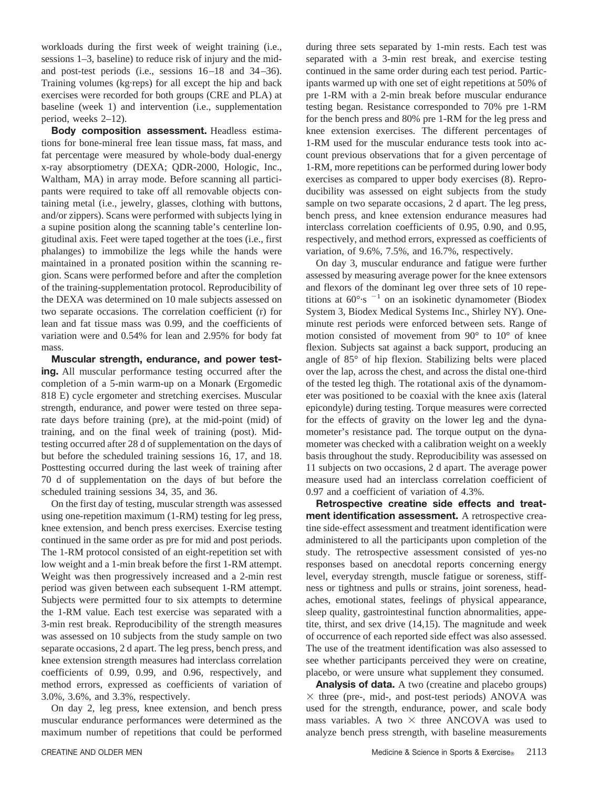workloads during the first week of weight training (i.e., sessions 1–3, baseline) to reduce risk of injury and the midand post-test periods (i.e., sessions 16–18 and 34–36). Training volumes (kg·reps) for all except the hip and back exercises were recorded for both groups (CRE and PLA) at baseline (week 1) and intervention (i.e., supplementation period, weeks 2–12).

**Body composition assessment.** Headless estimations for bone-mineral free lean tissue mass, fat mass, and fat percentage were measured by whole-body dual-energy x-ray absorptiometry (DEXA; QDR-2000, Hologic, Inc., Waltham, MA) in array mode. Before scanning all participants were required to take off all removable objects containing metal (i.e., jewelry, glasses, clothing with buttons, and/or zippers). Scans were performed with subjects lying in a supine position along the scanning table's centerline longitudinal axis. Feet were taped together at the toes (i.e., first phalanges) to immobilize the legs while the hands were maintained in a pronated position within the scanning region. Scans were performed before and after the completion of the training-supplementation protocol. Reproducibility of the DEXA was determined on 10 male subjects assessed on two separate occasions. The correlation coefficient (r) for lean and fat tissue mass was 0.99, and the coefficients of variation were and 0.54% for lean and 2.95% for body fat mass.

**Muscular strength, endurance, and power testing.** All muscular performance testing occurred after the completion of a 5-min warm-up on a Monark (Ergomedic 818 E) cycle ergometer and stretching exercises. Muscular strength, endurance, and power were tested on three separate days before training (pre), at the mid-point (mid) of training, and on the final week of training (post). Midtesting occurred after 28 d of supplementation on the days of but before the scheduled training sessions 16, 17, and 18. Posttesting occurred during the last week of training after 70 d of supplementation on the days of but before the scheduled training sessions 34, 35, and 36.

On the first day of testing, muscular strength was assessed using one-repetition maximum (1-RM) testing for leg press, knee extension, and bench press exercises. Exercise testing continued in the same order as pre for mid and post periods. The 1-RM protocol consisted of an eight-repetition set with low weight and a 1-min break before the first 1-RM attempt. Weight was then progressively increased and a 2-min rest period was given between each subsequent 1-RM attempt. Subjects were permitted four to six attempts to determine the 1-RM value. Each test exercise was separated with a 3-min rest break. Reproducibility of the strength measures was assessed on 10 subjects from the study sample on two separate occasions, 2 d apart. The leg press, bench press, and knee extension strength measures had interclass correlation coefficients of 0.99, 0.99, and 0.96, respectively, and method errors, expressed as coefficients of variation of 3.0%, 3.6%, and 3.3%, respectively.

On day 2, leg press, knee extension, and bench press muscular endurance performances were determined as the maximum number of repetitions that could be performed

during three sets separated by 1-min rests. Each test was separated with a 3-min rest break, and exercise testing continued in the same order during each test period. Participants warmed up with one set of eight repetitions at 50% of pre 1-RM with a 2-min break before muscular endurance testing began. Resistance corresponded to 70% pre 1-RM for the bench press and 80% pre 1-RM for the leg press and knee extension exercises. The different percentages of 1-RM used for the muscular endurance tests took into account previous observations that for a given percentage of 1-RM, more repetitions can be performed during lower body exercises as compared to upper body exercises (8). Reproducibility was assessed on eight subjects from the study sample on two separate occasions, 2 d apart. The leg press, bench press, and knee extension endurance measures had interclass correlation coefficients of 0.95, 0.90, and 0.95, respectively, and method errors, expressed as coefficients of variation, of 9.6%, 7.5%, and 16.7%, respectively.

On day 3, muscular endurance and fatigue were further assessed by measuring average power for the knee extensors and flexors of the dominant leg over three sets of 10 repetitions at  $60^{\circ}$ ·s<sup>-1</sup> on an isokinetic dynamometer (Biodex System 3, Biodex Medical Systems Inc., Shirley NY). Oneminute rest periods were enforced between sets. Range of motion consisted of movement from 90° to 10° of knee flexion. Subjects sat against a back support, producing an angle of 85° of hip flexion. Stabilizing belts were placed over the lap, across the chest, and across the distal one-third of the tested leg thigh. The rotational axis of the dynamometer was positioned to be coaxial with the knee axis (lateral epicondyle) during testing. Torque measures were corrected for the effects of gravity on the lower leg and the dynamometer's resistance pad. The torque output on the dynamometer was checked with a calibration weight on a weekly basis throughout the study. Reproducibility was assessed on 11 subjects on two occasions, 2 d apart. The average power measure used had an interclass correlation coefficient of 0.97 and a coefficient of variation of 4.3%.

**Retrospective creatine side effects and treatment identification assessment.** A retrospective creatine side-effect assessment and treatment identification were administered to all the participants upon completion of the study. The retrospective assessment consisted of yes-no responses based on anecdotal reports concerning energy level, everyday strength, muscle fatigue or soreness, stiffness or tightness and pulls or strains, joint soreness, headaches, emotional states, feelings of physical appearance, sleep quality, gastrointestinal function abnormalities, appetite, thirst, and sex drive (14,15). The magnitude and week of occurrence of each reported side effect was also assessed. The use of the treatment identification was also assessed to see whether participants perceived they were on creatine, placebo, or were unsure what supplement they consumed.

**Analysis of data.** A two (creatine and placebo groups)  $\times$  three (pre-, mid-, and post-test periods) ANOVA was used for the strength, endurance, power, and scale body mass variables. A two  $\times$  three ANCOVA was used to analyze bench press strength, with baseline measurements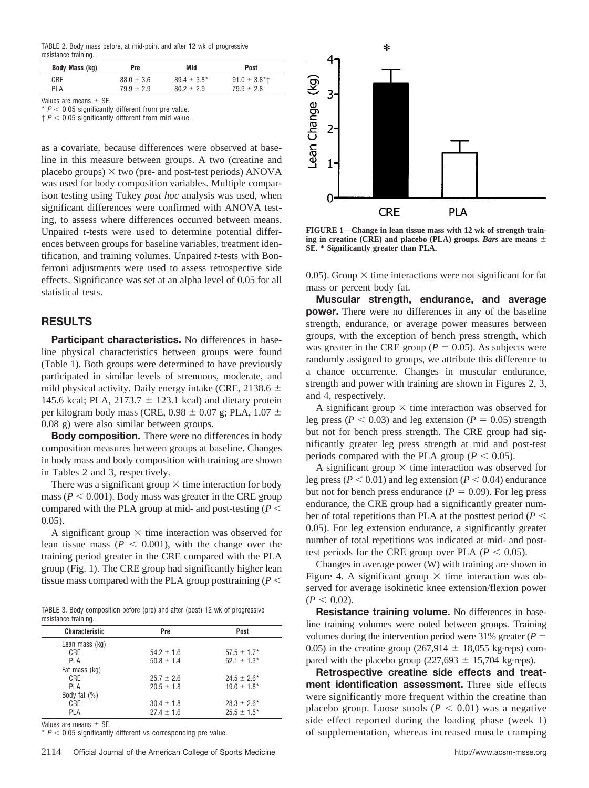TABLE 2. Body mass before, at mid-point and after 12 wk of progressive resistance training.

| Body Mass (kg) | Pre                              | Mid                                | Post                                            |
|----------------|----------------------------------|------------------------------------|-------------------------------------------------|
| CRE<br>PLA     | $88.0 \pm 3.6$<br>$79.9 \pm 2.9$ | $89.4 \pm 3.8^*$<br>$80.2 \pm 2.9$ | $91.0 \pm 3.8$ <sup>*</sup> t<br>$79.9 \pm 2.8$ |
|                |                                  |                                    |                                                 |

Values are means  $\pm$  SE.

 $*$   $P$  < 0.05 significantly different from pre value.

 $\dagger$   $P$  < 0.05 significantly different from mid value.

as a covariate, because differences were observed at baseline in this measure between groups. A two (creatine and placebo groups)  $\times$  two (pre- and post-test periods) ANOVA was used for body composition variables. Multiple comparison testing using Tukey *post hoc* analysis was used, when significant differences were confirmed with ANOVA testing, to assess where differences occurred between means. Unpaired *t*-tests were used to determine potential differences between groups for baseline variables, treatment identification, and training volumes. Unpaired *t*-tests with Bonferroni adjustments were used to assess retrospective side effects. Significance was set at an alpha level of 0.05 for all statistical tests.

## **RESULTS**

**Participant characteristics.** No differences in baseline physical characteristics between groups were found (Table 1). Both groups were determined to have previously participated in similar levels of strenuous, moderate, and mild physical activity. Daily energy intake (CRE, 2138.6  $\pm$ 145.6 kcal; PLA,  $2173.7 \pm 123.1$  kcal) and dietary protein per kilogram body mass (CRE,  $0.98 \pm 0.07$  g; PLA,  $1.07 \pm 0.07$ 0.08 g) were also similar between groups.

**Body composition.** There were no differences in body composition measures between groups at baseline. Changes in body mass and body composition with training are shown in Tables 2 and 3, respectively.

There was a significant group  $\times$  time interaction for body mass ( $P < 0.001$ ). Body mass was greater in the CRE group compared with the PLA group at mid- and post-testing  $(P \leq$ 0.05).

A significant group  $\times$  time interaction was observed for lean tissue mass  $(P \leq 0.001)$ , with the change over the training period greater in the CRE compared with the PLA group (Fig. 1). The CRE group had significantly higher lean tissue mass compared with the PLA group posttraining  $(P \leq$ 

TABLE 3. Body composition before (pre) and after (post) 12 wk of progressive resistance training.

| <b>Characteristic</b> | Pre            | Post             |  |  |
|-----------------------|----------------|------------------|--|--|
| Lean mass (kg)        |                |                  |  |  |
| <b>CRE</b>            | $54.2 \pm 1.6$ | $57.5 \pm 1.7^*$ |  |  |
| PI A                  | $50.8 \pm 1.4$ | $52.1 \pm 1.3^*$ |  |  |
| Fat mass (kg)         |                |                  |  |  |
| CRE                   | $25.7 \pm 2.6$ | $24.5 \pm 2.6^*$ |  |  |
| PLA                   | $20.5 \pm 1.8$ | $19.0 \pm 1.8^*$ |  |  |
| Body fat $(\%)$       |                |                  |  |  |
| CRE                   | $30.4 \pm 1.8$ | $28.3 \pm 2.6^*$ |  |  |
| PLA                   | $27.4 \pm 1.6$ | $25.5 \pm 1.5^*$ |  |  |

Values are means  $\pm$  SE.

 $*$   $P$  < 0.05 significantly different vs corresponding pre value.



**FIGURE 1—Change in lean tissue mass with 12 wk of strength train-** $\text{diag}$  in creatine (CRE) and placebo (PLA) groups. *Bars* are means  $\pm$ **SE. \* Significantly greater than PLA.**

0.05). Group  $\times$  time interactions were not significant for fat mass or percent body fat.

**Muscular strength, endurance, and average power.** There were no differences in any of the baseline strength, endurance, or average power measures between groups, with the exception of bench press strength, which was greater in the CRE group ( $P = 0.05$ ). As subjects were randomly assigned to groups, we attribute this difference to a chance occurrence. Changes in muscular endurance, strength and power with training are shown in Figures 2, 3, and 4, respectively.

A significant group  $\times$  time interaction was observed for leg press ( $P < 0.03$ ) and leg extension ( $P = 0.05$ ) strength but not for bench press strength. The CRE group had significantly greater leg press strength at mid and post-test periods compared with the PLA group ( $P < 0.05$ ).

A significant group  $\times$  time interaction was observed for leg press ( $P < 0.01$ ) and leg extension ( $P < 0.04$ ) endurance but not for bench press endurance  $(P = 0.09)$ . For leg press endurance, the CRE group had a significantly greater number of total repetitions than PLA at the posttest period (*P* 0.05). For leg extension endurance, a significantly greater number of total repetitions was indicated at mid- and posttest periods for the CRE group over PLA ( $P < 0.05$ ).

Changes in average power (W) with training are shown in Figure 4. A significant group  $\times$  time interaction was observed for average isokinetic knee extension/flexion power  $(P < 0.02)$ .

**Resistance training volume.** No differences in baseline training volumes were noted between groups. Training volumes during the intervention period were  $31\%$  greater ( $P =$ 0.05) in the creatine group  $(267,914 \pm 18,055$  kg·reps) compared with the placebo group  $(227,693 \pm 15,704 \text{ kg} \cdot \text{reps}).$ 

**Retrospective creatine side effects and treatment identification assessment.** Three side effects were significantly more frequent within the creatine than placebo group. Loose stools ( $P < 0.01$ ) was a negative side effect reported during the loading phase (week 1) of supplementation, whereas increased muscle cramping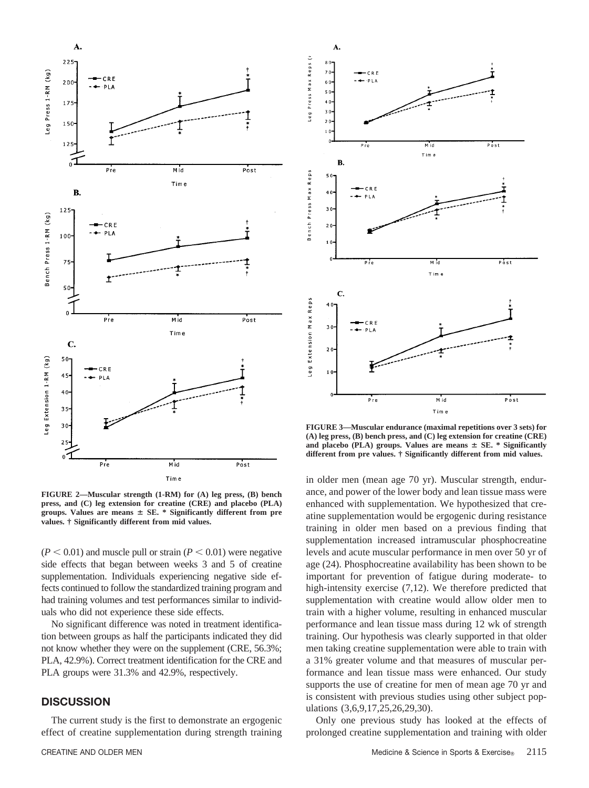

**FIGURE 2—Muscular strength (1-RM) for (A) leg press, (B) bench press, and (C) leg extension for creatine (CRE) and placebo (PLA)** groups. Values are means  $\pm$  SE.  $*$  Significantly different from pre **values. † Significantly different from mid values.**

 $(P < 0.01)$  and muscle pull or strain  $(P < 0.01)$  were negative side effects that began between weeks 3 and 5 of creatine supplementation. Individuals experiencing negative side effects continued to follow the standardized training program and had training volumes and test performances similar to individuals who did not experience these side effects.

No significant difference was noted in treatment identification between groups as half the participants indicated they did not know whether they were on the supplement (CRE, 56.3%; PLA, 42.9%). Correct treatment identification for the CRE and PLA groups were 31.3% and 42.9%, respectively.

## **DISCUSSION**

The current study is the first to demonstrate an ergogenic effect of creatine supplementation during strength training



**FIGURE 3—Muscular endurance (maximal repetitions over 3 sets) for (A) leg press, (B) bench press, and (C) leg extension for creatine (CRE)** and placebo (PLA) groups. Values are means  $\pm$  SE.  $*$  Significantly **different from pre values. † Significantly different from mid values.**

in older men (mean age 70 yr). Muscular strength, endurance, and power of the lower body and lean tissue mass were enhanced with supplementation. We hypothesized that creatine supplementation would be ergogenic during resistance training in older men based on a previous finding that supplementation increased intramuscular phosphocreatine levels and acute muscular performance in men over 50 yr of age (24). Phosphocreatine availability has been shown to be important for prevention of fatigue during moderate- to high-intensity exercise (7,12). We therefore predicted that supplementation with creatine would allow older men to train with a higher volume, resulting in enhanced muscular performance and lean tissue mass during 12 wk of strength training. Our hypothesis was clearly supported in that older men taking creatine supplementation were able to train with a 31% greater volume and that measures of muscular performance and lean tissue mass were enhanced. Our study supports the use of creatine for men of mean age 70 yr and is consistent with previous studies using other subject populations (3,6,9,17,25,26,29,30).

Only one previous study has looked at the effects of prolonged creatine supplementation and training with older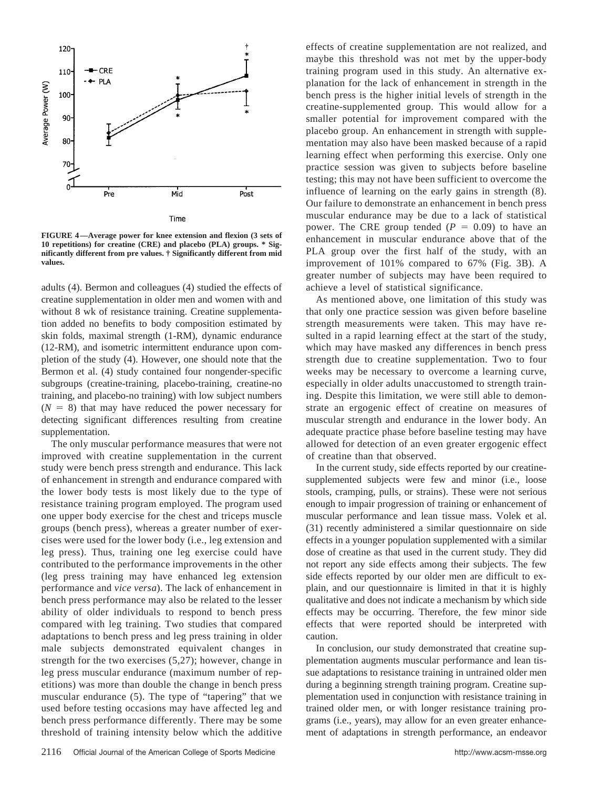

**FIGURE 4—Average power for knee extension and flexion (3 sets of 10 repetitions) for creatine (CRE) and placebo (PLA) groups. \* Significantly different from pre values. † Significantly different from mid values.**

adults (4). Bermon and colleagues (4) studied the effects of creatine supplementation in older men and women with and without 8 wk of resistance training. Creatine supplementation added no benefits to body composition estimated by skin folds, maximal strength (1-RM), dynamic endurance (12-RM), and isometric intermittent endurance upon completion of the study (4). However, one should note that the Bermon et al. (4) study contained four nongender-specific subgroups (creatine-training, placebo-training, creatine-no training, and placebo-no training) with low subject numbers  $(N = 8)$  that may have reduced the power necessary for detecting significant differences resulting from creatine supplementation.

The only muscular performance measures that were not improved with creatine supplementation in the current study were bench press strength and endurance. This lack of enhancement in strength and endurance compared with the lower body tests is most likely due to the type of resistance training program employed. The program used one upper body exercise for the chest and triceps muscle groups (bench press), whereas a greater number of exercises were used for the lower body (i.e., leg extension and leg press). Thus, training one leg exercise could have contributed to the performance improvements in the other (leg press training may have enhanced leg extension performance and *vice versa*). The lack of enhancement in bench press performance may also be related to the lesser ability of older individuals to respond to bench press compared with leg training. Two studies that compared adaptations to bench press and leg press training in older male subjects demonstrated equivalent changes in strength for the two exercises (5,27); however, change in leg press muscular endurance (maximum number of repetitions) was more than double the change in bench press muscular endurance (5). The type of "tapering" that we used before testing occasions may have affected leg and bench press performance differently. There may be some threshold of training intensity below which the additive

effects of creatine supplementation are not realized, and maybe this threshold was not met by the upper-body training program used in this study. An alternative explanation for the lack of enhancement in strength in the bench press is the higher initial levels of strength in the creatine-supplemented group. This would allow for a smaller potential for improvement compared with the placebo group. An enhancement in strength with supplementation may also have been masked because of a rapid learning effect when performing this exercise. Only one practice session was given to subjects before baseline testing; this may not have been sufficient to overcome the influence of learning on the early gains in strength (8). Our failure to demonstrate an enhancement in bench press muscular endurance may be due to a lack of statistical power. The CRE group tended  $(P = 0.09)$  to have an enhancement in muscular endurance above that of the PLA group over the first half of the study, with an improvement of 101% compared to 67% (Fig. 3B). A greater number of subjects may have been required to achieve a level of statistical significance.

As mentioned above, one limitation of this study was that only one practice session was given before baseline strength measurements were taken. This may have resulted in a rapid learning effect at the start of the study, which may have masked any differences in bench press strength due to creatine supplementation. Two to four weeks may be necessary to overcome a learning curve, especially in older adults unaccustomed to strength training. Despite this limitation, we were still able to demonstrate an ergogenic effect of creatine on measures of muscular strength and endurance in the lower body. An adequate practice phase before baseline testing may have allowed for detection of an even greater ergogenic effect of creatine than that observed.

In the current study, side effects reported by our creatinesupplemented subjects were few and minor (i.e., loose stools, cramping, pulls, or strains). These were not serious enough to impair progression of training or enhancement of muscular performance and lean tissue mass. Volek et al. (31) recently administered a similar questionnaire on side effects in a younger population supplemented with a similar dose of creatine as that used in the current study. They did not report any side effects among their subjects. The few side effects reported by our older men are difficult to explain, and our questionnaire is limited in that it is highly qualitative and does not indicate a mechanism by which side effects may be occurring. Therefore, the few minor side effects that were reported should be interpreted with caution.

In conclusion, our study demonstrated that creatine supplementation augments muscular performance and lean tissue adaptations to resistance training in untrained older men during a beginning strength training program. Creatine supplementation used in conjunction with resistance training in trained older men, or with longer resistance training programs (i.e., years), may allow for an even greater enhancement of adaptations in strength performance, an endeavor